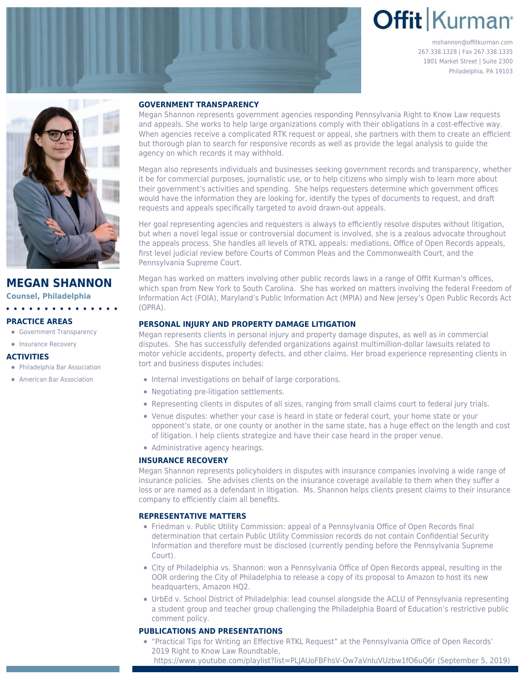# **Offit Kurman**

mshannon@offitkurman.com 267.338.1328 | Fax 267.338.1335 1801 Market Street | Suite 2300 Philadelphia, PA 19103



## **MEGAN SHANNON**

**Counsel, Philadelphia**

#### **PRACTICE AREAS**

- **[Government Transparency](https://www.offitkurman.com/service/government-contracting/government-transparency/)**
- [Insurance Recovery](https://www.offitkurman.com/service/insurance/)

#### **ACTIVITIES**

Philadelphia Bar Association **• American Bar Association** 

#### **GOVERNMENT TRANSPARENCY**

Megan Shannon represents government agencies responding Pennsylvania Right to Know Law requests and appeals. She works to help large organizations comply with their obligations in a cost-effective way. When agencies receive a complicated RTK request or appeal, she partners with them to create an efficient but thorough plan to search for responsive records as well as provide the legal analysis to guide the agency on which records it may withhold.

Megan also represents individuals and businesses seeking government records and transparency, whether it be for commercial purposes, journalistic use, or to help citizens who simply wish to learn more about their government's activities and spending. She helps requesters determine which government offices would have the information they are looking for, identify the types of documents to request, and draft requests and appeals specifically targeted to avoid drawn-out appeals.

Her goal representing agencies and requesters is always to efficiently resolve disputes without litigation, but when a novel legal issue or controversial document is involved, she is a zealous advocate throughout the appeals process. She handles all levels of RTKL appeals: mediations, Office of Open Records appeals, first level judicial review before Courts of Common Pleas and the Commonwealth Court, and the Pennsylvania Supreme Court.

Megan has worked on matters involving other public records laws in a range of Offit Kurman's offices, which span from New York to South Carolina. She has worked on matters involving the federal Freedom of Information Act (FOIA), Maryland's Public Information Act (MPIA) and New Jersey's Open Public Records Act (OPRA).

### **PERSONAL INJURY AND PROPERTY DAMAGE LITIGATION**

Megan represents clients in personal injury and property damage disputes, as well as in commercial disputes. She has successfully defended organizations against multimillion-dollar lawsuits related to motor vehicle accidents, property defects, and other claims. Her broad experience representing clients in tort and business disputes includes:

- Internal investigations on behalf of large corporations.
- Negotiating pre-litigation settlements.
- Representing clients in disputes of all sizes, ranging from small claims court to federal jury trials.
- Venue disputes: whether your case is heard in state or federal court, your home state or your opponent's state, or one county or another in the same state, has a huge effect on the length and cost of litigation. I help clients strategize and have their case heard in the proper venue.
- Administrative agency hearings.

#### **INSURANCE RECOVERY**

Megan Shannon represents policyholders in disputes with insurance companies involving a wide range of insurance policies. She advises clients on the insurance coverage available to them when they suffer a loss or are named as a defendant in litigation. Ms. Shannon helps clients present claims to their insurance company to efficiently claim all benefits.

#### **REPRESENTATIVE MATTERS**

- [Friedman v. Public Utility Commission](https://www.openrecords.pa.gov/Appeals/DocketSheet.cfm?docket=20190502): appeal of a Pennsylvania Office of Open Records final determination that certain Public Utility Commission records do not contain Confidential Security Information and therefore must be disclosed (currently pending before the Pennsylvania Supreme Court).
- [City of Philadelphia vs. Shannon](https://www.openrecords.pa.gov/Appeals/DocketSheet.cfm?docket=20180460): won a Pennsylvania Office of Open Records appeal, resulting in the OOR ordering the City of Philadelphia to release a copy of its proposal to Amazon to host its new headquarters, Amazon HQ2.
- [UrbEd v. School District of Philadelphia:](https://www.aclupa.org/en/press-releases/aclu-pa-lawsuit-accuses-philadelphia-school-board-violating-sunshine-act-0) lead counsel alongside the ACLU of Pennsylvania representing a student group and teacher group challenging the Philadelphia Board of Education's restrictive public comment policy.

#### **PUBLICATIONS AND PRESENTATIONS**

"Practical Tips for Writing an Effective RTKL Request" at the Pennsylvania Office of Open Records' 2019 Right to Know Law Roundtable,

<https://www.youtube.com/playlist?list=PLJAUoFBFhsV-Ow7aVnIuVUzbw1fO6uQ6r>(September 5, 2019)